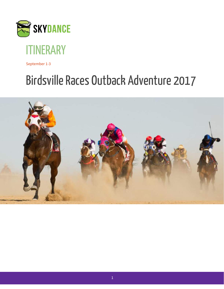



September 1-3

# Birdsville Races Outback Adventure 2017

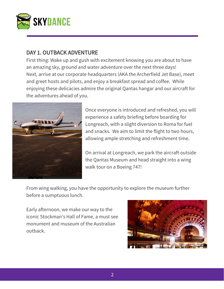

#### DAY 1. OUTBACK ADVENTURE

First thing: Wake up and gush with excitement knowing you are about to have an amazing sky, ground and water adventure over the next three days! Next, arrive at our corporate headquarters (AKA the Archerfield Jet Base), meet and greet hosts and pilots, and enjoy a breakfast spread and coffee. While enjoying these delicacies admire the original Qantas hangar and our aircraft for the adventures ahead of you.



Once everyone is introduced and refreshed, you will experience a safety briefing before boarding for Longreach, with a slight diversion to Roma for fuel and snacks. We aim to limit the flight to two hours, allowing ample stretching and refreshment time.

On arrival at Longreach, we park the aircraft outside the Qantas Museum and head straight into a wing walk tour on a Boeing 747!

From wing walking, you have the opportunity to explore the museum further before a sumptuous lunch.

Early afternoon, we make our way to the iconic Stockman's Hall of Fame, a must see monument and museum of the Australian outback.

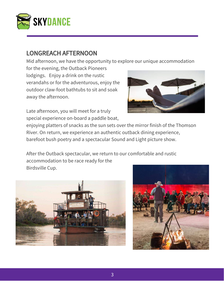

## LONGREACH AFTERNOON

Mid afternoon, we have the opportunity to explore our unique accommodation

for the evening, the Outback Pioneers lodgings. Enjoy a drink on the rustic verandahs or for the adventurous, enjoy the outdoor claw-foot bathtubs to sit and soak away the afternoon.

Late afternoon, you will meet for a truly special experience on-board a paddle boat,

enjoying platters of snacks as the sun sets over the mirror finish of the Thomson River. On return, we experience an authentic outback dining experience, barefoot bush poetry and a spectacular Sound and Light picture show.

After the Outback spectacular, we return to our comfortable and rustic accommodation to be race ready for the Birdsville Cup.





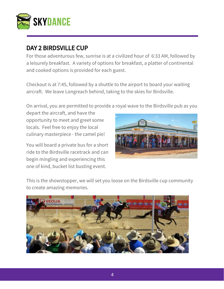

## DAY 2 BIRDSVILLE CUP

For those adventurous few, sunrise is at a civilized hour of 6:33 AM, followed by a leisurely breakfast. A variety of options for breakfast, a platter of continental and cooked options is provided for each guest.

Checkout is at 7:45, followed by a shuttle to the airport to board your waiting aircraft. We leave Longreach behind, taking to the skies for Birdsville.

On arrival, you are permitted to provide a royal wave to the Birdsville pub as you

depart the aircraft, and have the opportunity to meet and greet some locals. Feel free to enjoy the local culinary masterpiece - the camel pie!

You will board a private bus for a short ride to the Birdsville racetrack and can begin mingling and experiencing this one of kind, bucket list busting event.



This is the showstopper, we will set you loose on the Birdsville cup community to create amazing memories.

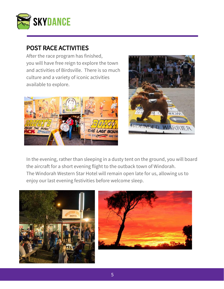

## POST RACE ACTIVITIES

After the race program has finished, you will have free reign to explore the town and activities of Birdsville. There is so much culture and a variety of iconic activities available to explore.





In the evening, rather than sleeping in a dusty tent on the ground, you will board the aircraft for a short evening flight to the outback town of Windorah. The Windorah Western Star Hotel will remain open late for us, allowing us to enjoy our last evening festivities before welcome sleep.



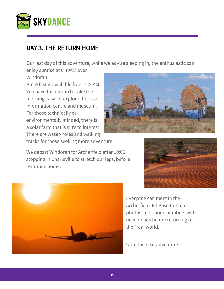

## DAY 3. THE RETURN HOME

Our last day of this adventure, while we advise sleeping in, the enthusiastic can

enjoy sunrise at 6:40AM over Windorah.

Breakfast is available from 7:00AM. You have the option to take the morning easy, or explore the local information centre and museum. For those technically or environmentally minded, there is a solar farm that is sure to interest. There are water-holes and walking

tracks for those seeking more adventure.

We depart Windorah for Archerfield after 10:00, stopping in Charleville to stretch our legs, before returning home.



Everyone can meet in the Archerfield Jet Base to share photos and phone numbers with new friends before returning to the "real world."

Until the next adventure....